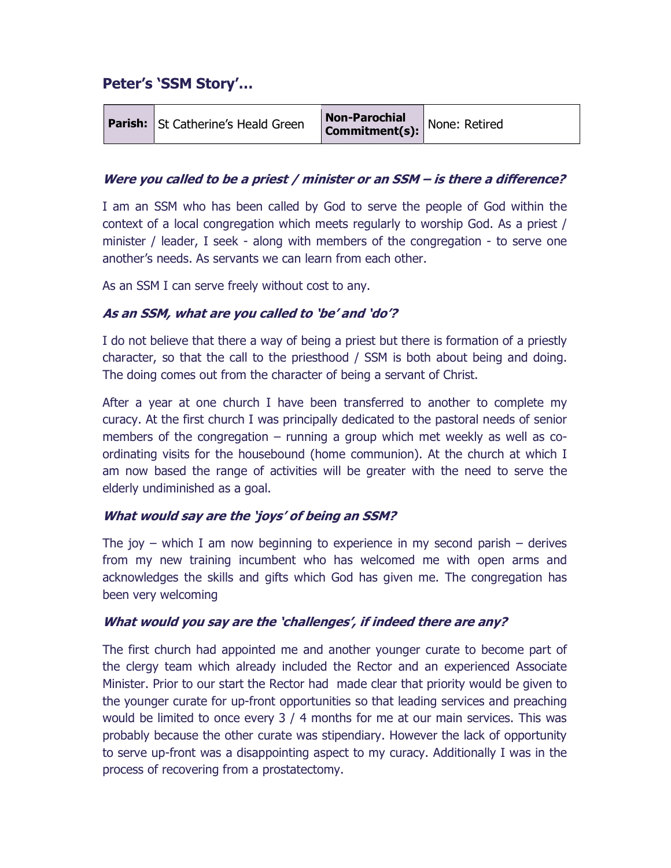# Peter's 'SSM Story'…

|  | <b>Parish:</b> St Catherine's Heald Green | <b>Non-Parochial</b><br><b>Non-Parocinal</b><br>Commitment(s): None: Retired |  |
|--|-------------------------------------------|------------------------------------------------------------------------------|--|
|--|-------------------------------------------|------------------------------------------------------------------------------|--|

## Were you called to be a priest / minister or an SSM – is there a difference?

I am an SSM who has been called by God to serve the people of God within the context of a local congregation which meets regularly to worship God. As a priest / minister / leader, I seek - along with members of the congregation - to serve one another's needs. As servants we can learn from each other.

As an SSM I can serve freely without cost to any.

#### As an SSM, what are you called to 'be' and 'do'?

I do not believe that there a way of being a priest but there is formation of a priestly character, so that the call to the priesthood / SSM is both about being and doing. The doing comes out from the character of being a servant of Christ.

After a year at one church I have been transferred to another to complete my curacy. At the first church I was principally dedicated to the pastoral needs of senior members of the congregation – running a group which met weekly as well as coordinating visits for the housebound (home communion). At the church at which I am now based the range of activities will be greater with the need to serve the elderly undiminished as a goal.

## What would say are the 'joys' of being an SSM?

The joy – which I am now beginning to experience in my second parish – derives from my new training incumbent who has welcomed me with open arms and acknowledges the skills and gifts which God has given me. The congregation has been very welcoming

#### What would you say are the 'challenges', if indeed there are any?

The first church had appointed me and another younger curate to become part of the clergy team which already included the Rector and an experienced Associate Minister. Prior to our start the Rector had made clear that priority would be given to the younger curate for up-front opportunities so that leading services and preaching would be limited to once every 3 / 4 months for me at our main services. This was probably because the other curate was stipendiary. However the lack of opportunity to serve up-front was a disappointing aspect to my curacy. Additionally I was in the process of recovering from a prostatectomy.